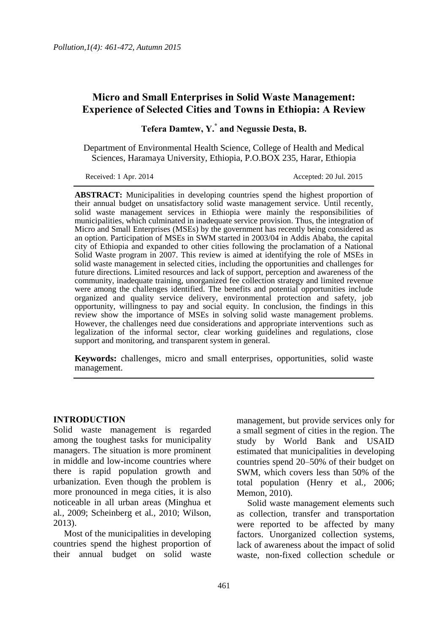# **Micro and Small Enterprises in Solid Waste Management: Experience of Selected Cities and Towns in Ethiopia: A Review**

**Tefera Damtew, Y.\* and Negussie Desta, B.**

Department of Environmental Health Science, College of Health and Medical Sciences, Haramaya University, Ethiopia, P.O.BOX 235, Harar, Ethiopia

Received: 1 Apr. 2014 Accepted: 20 Jul. 2015

**ABSTRACT:** Municipalities in developing countries spend the highest proportion of their annual budget on unsatisfactory solid waste management service. Until recently, solid waste management services in Ethiopia were mainly the responsibilities of municipalities, which culminated in inadequate service provision. Thus, the integration of Micro and Small Enterprises (MSEs) by the government has recently being considered as an option. Participation of MSEs in SWM started in 2003/04 in Addis Ababa, the capital city of Ethiopia and expanded to other cities following the proclamation of a National Solid Waste program in 2007. This review is aimed at identifying the role of MSEs in solid waste management in selected cities, including the opportunities and challenges for future directions. Limited resources and lack of support, perception and awareness of the community, inadequate training, unorganized fee collection strategy and limited revenue were among the challenges identified. The benefits and potential opportunities include organized and quality service delivery, environmental protection and safety, job opportunity, willingness to pay and social equity. In conclusion, the findings in this review show the importance of MSEs in solving solid waste management problems. However, the challenges need due considerations and appropriate interventions such as legalization of the informal sector, clear working guidelines and regulations, close support and monitoring, and transparent system in general.

**Keywords:** challenges, micro and small enterprises, opportunities, solid waste management.

#### **INTRODUCTION**

Solid waste management is regarded among the toughest tasks for municipality managers. The situation is more prominent in middle and low-income countries where there is rapid population growth and urbanization. Even though the problem is more pronounced in mega cities, it is also noticeable in all urban areas (Minghua et al*.,* 2009; Scheinberg et al*.,* 2010; Wilson, 2013).

Most of the municipalities in developing countries spend the highest proportion of their annual budget on solid waste management, but provide services only for a small segment of cities in the region. The study by World Bank and USAID estimated that municipalities in developing countries spend 20–50% of their budget on SWM, which covers less than 50% of the total population (Henry et al*.,* 2006; Memon, 2010).

Solid waste management elements such as collection, transfer and transportation were reported to be affected by many factors. Unorganized collection systems, lack of awareness about the impact of solid waste, non-fixed collection schedule or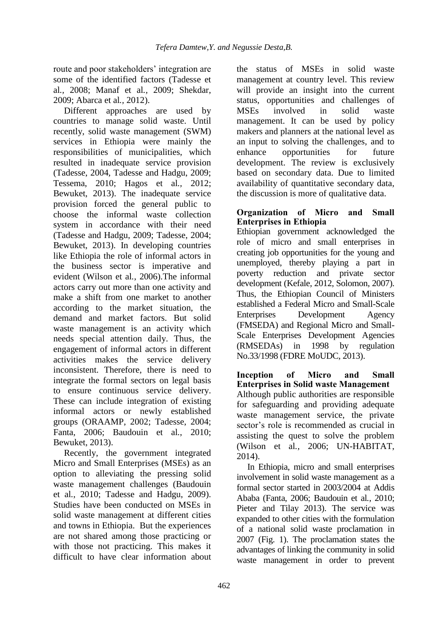route and poor stakeholders' integration are some of the identified factors (Tadesse et al*.,* 2008; Manaf et al*.,* 2009; Shekdar, 2009; Abarca et al*.,* 2012).

Different approaches are used by countries to manage solid waste. Until recently, solid waste management (SWM) services in Ethiopia were mainly the responsibilities of municipalities, which resulted in inadequate service provision (Tadesse, 2004, Tadesse and Hadgu, 2009; Tessema, 2010; Hagos et al*.,* 2012; Bewuket, 2013). The inadequate service provision forced the general public to choose the informal waste collection system in accordance with their need (Tadesse and Hadgu, 2009; Tadesse, 2004; Bewuket, 2013). In developing countries like Ethiopia the role of informal actors in the business sector is imperative and evident (Wilson et al*.*, 2006).The informal actors carry out more than one activity and make a shift from one market to another according to the market situation, the demand and market factors. But solid waste management is an activity which needs special attention daily. Thus, the engagement of informal actors in different activities makes the service delivery inconsistent. Therefore, there is need to integrate the formal sectors on legal basis to ensure continuous service delivery. These can include integration of existing informal actors or newly established groups (ORAAMP, 2002; Tadesse, 2004; Fanta, 2006; Baudouin et al*.*, 2010; Bewuket, 2013).

Recently, the government integrated Micro and Small Enterprises (MSEs) as an option to alleviating the pressing solid waste management challenges (Baudouin et al*.*, 2010; Tadesse and Hadgu, 2009). Studies have been conducted on MSEs in solid waste management at different cities and towns in Ethiopia. But the experiences are not shared among those practicing or with those not practicing. This makes it difficult to have clear information about

the status of MSEs in solid waste management at country level. This review will provide an insight into the current status, opportunities and challenges of MSEs involved in solid waste management. It can be used by policy makers and planners at the national level as an input to solving the challenges, and to enhance opportunities for future development. The review is exclusively based on secondary data. Due to limited availability of quantitative secondary data, the discussion is more of qualitative data.

#### **Organization of Micro and Small Enterprises in Ethiopia**

Ethiopian government acknowledged the role of micro and small enterprises in creating job opportunities for the young and unemployed, thereby playing a part in poverty reduction and private sector development (Kefale, 2012, Solomon, 2007). Thus, the Ethiopian Council of Ministers established a Federal Micro and Small-Scale Enterprises Development Agency (FMSEDA) and Regional Micro and Small-Scale Enterprises Development Agencies (RMSEDAs) in 1998 by regulation No.33/1998 (FDRE MoUDC, 2013).

**Inception of Micro and Small Enterprises in Solid waste Management** Although public authorities are responsible for safeguarding and providing adequate waste management service, the private sector's role is recommended as crucial in assisting the quest to solve the problem (Wilson et al*.,* 2006; UN-HABITAT, 2014).

In Ethiopia, micro and small enterprises involvement in solid waste management as a formal sector started in 2003/2004 at Addis Ababa (Fanta, 2006; Baudouin et al*.*, 2010; Pieter and Tilay 2013). The service was expanded to other cities with the formulation of a national solid waste proclamation in 2007 (Fig. 1). The proclamation states the advantages of linking the community in solid waste management in order to prevent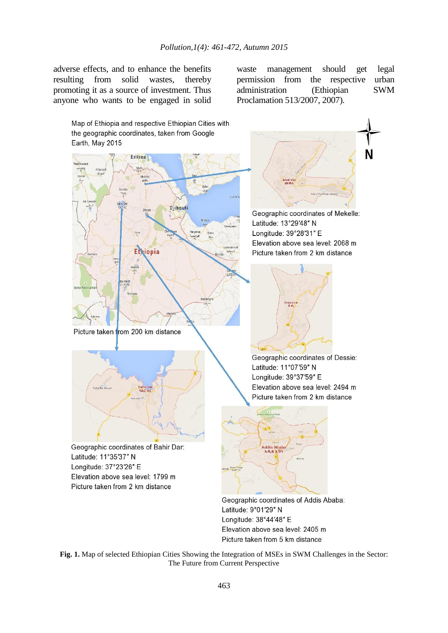adverse effects, and to enhance the benefits resulting from solid wastes, thereby promoting it as a source of investment. Thus anyone who wants to be engaged in solid

waste management should get legal<br>permission from the respective urban permission from the respective administration (Ethiopian SWM Proclamation 513/2007, 2007).



**Fig. 1.** Map of selected Ethiopian Cities Showing the Integration of MSEs in SWM Challenges in the Sector: The Future from Current Perspective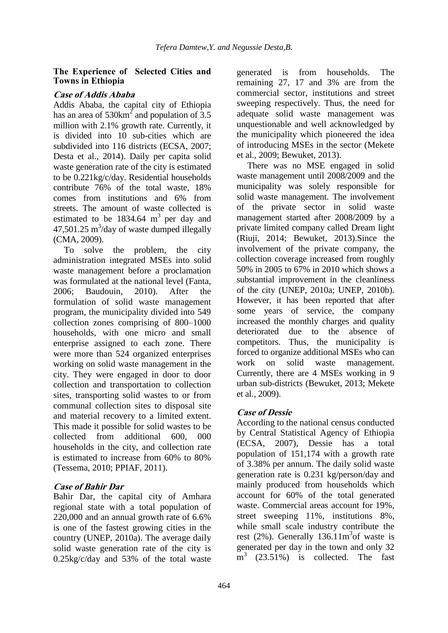#### **The Experience of Selected Cities and Towns in Ethiopia**

#### **Case of Addis Ababa**

Addis Ababa, the capital city of Ethiopia has an area of  $530 \text{km}^2$  and population of 3.5 million with 2.1% growth rate. Currently, it is divided into 10 sub-cities which are subdivided into 116 districts (ECSA, 2007; Desta et al.*,* 2014). Daily per capita solid waste generation rate of the city is estimated to be 0.221kg/c/day. Residential households contribute 76% of the total waste, 18% comes from institutions and 6% from streets. The amount of waste collected is estimated to be  $1834.64 \text{ m}^3$  per day and  $47,501.25 \text{ m}^3/\text{day}$  of waste dumped illegally (CMA, 2009).

To solve the problem, the city administration integrated MSEs into solid waste management before a proclamation was formulated at the national level (Fanta, 2006; Baudouin, 2010). After the formulation of solid waste management program, the municipality divided into 549 collection zones comprising of 800–1000 households, with one micro and small enterprise assigned to each zone. There were more than 524 organized enterprises working on solid waste management in the city. They were engaged in door to door collection and transportation to collection sites, transporting solid wastes to or from communal collection sites to disposal site and material recovery to a limited extent. This made it possible for solid wastes to be collected from additional 600, 000 households in the city, and collection rate is estimated to increase from 60% to 80% (Tessema, 2010; PPIAF, 2011).

## **Case of Bahir Dar**

Bahir Dar, the capital city of Amhara regional state with a total population of 220,000 and an annual growth rate of 6.6% is one of the fastest growing cities in the country (UNEP, 2010a). The average daily solid waste generation rate of the city is 0.25kg/c/day and 53% of the total waste

generated is from households. The remaining 27, 17 and 3% are from the commercial sector, institutions and street sweeping respectively. Thus, the need for adequate solid waste management was unquestionable and well acknowledged by the municipality which pioneered the idea of introducing MSEs in the sector (Mekete et al., 2009; Bewuket, 2013).

There was no MSE engaged in solid waste management until 2008/2009 and the municipality was solely responsible for solid waste management. The involvement of the private sector in solid waste management started after 2008/2009 by a private limited company called Dream light (Riuji, 2014; Bewuket, 2013).Since the involvement of the private company, the collection coverage increased from roughly 50% in 2005 to 67% in 2010 which shows a substantial improvement in the cleanliness of the city (UNEP, 2010a; UNEP, 2010b). However, it has been reported that after some years of service, the company increased the monthly charges and quality deteriorated due to the absence of competitors. Thus, the municipality is forced to organize additional MSEs who can work on solid waste management. Currently, there are 4 MSEs working in 9 urban sub-districts (Bewuket, 2013; Mekete et al., 2009).

## **Case of Dessie**

According to the national census conducted by Central Statistical Agency of Ethiopia (ECSA, 2007), Dessie has a total population of 151,174 with a growth rate of 3.38% per annum. The daily solid waste generation rate is 0.231 kg/person/day and mainly produced from households which account for 60% of the total generated waste. Commercial areas account for 19%, street sweeping 11%, institutions 8%, while small scale industry contribute the rest  $(2\%)$ . Generally 136.11m<sup>3</sup> of waste is generated per day in the town and only 32 m<sup>3</sup> (23.51%) is collected. The fast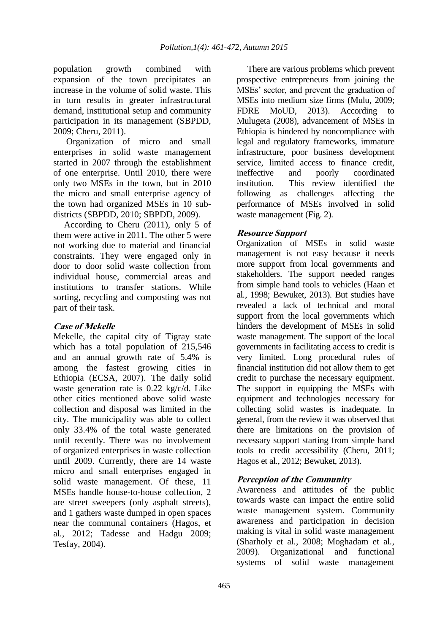population growth combined with expansion of the town precipitates an increase in the volume of solid waste. This in turn results in greater infrastructural demand, institutional setup and community participation in its management (SBPDD, 2009; Cheru, 2011).

Organization of micro and small enterprises in solid waste management started in 2007 through the establishment of one enterprise. Until 2010, there were only two MSEs in the town, but in 2010 the micro and small enterprise agency of the town had organized MSEs in 10 subdistricts (SBPDD, 2010; SBPDD, 2009).

According to Cheru (2011), only 5 of them were active in 2011. The other 5 were not working due to material and financial constraints. They were engaged only in door to door solid waste collection from individual house, commercial areas and institutions to transfer stations. While sorting, recycling and composting was not part of their task.

## **Case of Mekelle**

Mekelle, the capital city of Tigray state which has a total population of 215,546 and an annual growth rate of 5.4% is among the fastest growing cities in Ethiopia (ECSA, 2007). The daily solid waste generation rate is 0.22 kg/c/d. Like other cities mentioned above solid waste collection and disposal was limited in the city. The municipality was able to collect only 33.4% of the total waste generated until recently. There was no involvement of organized enterprises in waste collection until 2009. Currently, there are 14 waste micro and small enterprises engaged in solid waste management. Of these, 11 MSEs handle house-to-house collection, 2 are street sweepers (only asphalt streets), and 1 gathers waste dumped in open spaces near the communal containers (Hagos, et al*.,* 2012; Tadesse and Hadgu 2009; Tesfay, 2004).

There are various problems which prevent prospective entrepreneurs from joining the MSEs' sector, and prevent the graduation of MSEs into medium size firms (Mulu, 2009; FDRE MoUD, 2013). According to Mulugeta (2008), advancement of MSEs in Ethiopia is hindered by noncompliance with legal and regulatory frameworks, immature infrastructure, poor business development service, limited access to finance credit, ineffective and poorly coordinated institution. This review identified the following as challenges affecting the performance of MSEs involved in solid waste management (Fig. 2).

## **Resource Support**

Organization of MSEs in solid waste management is not easy because it needs more support from local governments and stakeholders. The support needed ranges from simple hand tools to vehicles (Haan et al*.*, 1998; Bewuket, 2013). But studies have revealed a lack of technical and moral support from the local governments which hinders the development of MSEs in solid waste management. The support of the local governments in facilitating access to credit is very limited. Long procedural rules of financial institution did not allow them to get credit to purchase the necessary equipment. The support in equipping the MSEs with equipment and technologies necessary for collecting solid wastes is inadequate. In general, from the review it was observed that there are limitations on the provision of necessary support starting from simple hand tools to credit accessibility (Cheru, 2011; Hagos et al*.*, 2012; Bewuket, 2013).

## **Perception of the Community**

Awareness and attitudes of the public towards waste can impact the entire solid waste management system. Community awareness and participation in decision making is vital in solid waste management (Sharholy et al*.,* 2008; Moghadam et al*.,* 2009). Organizational and functional systems of solid waste management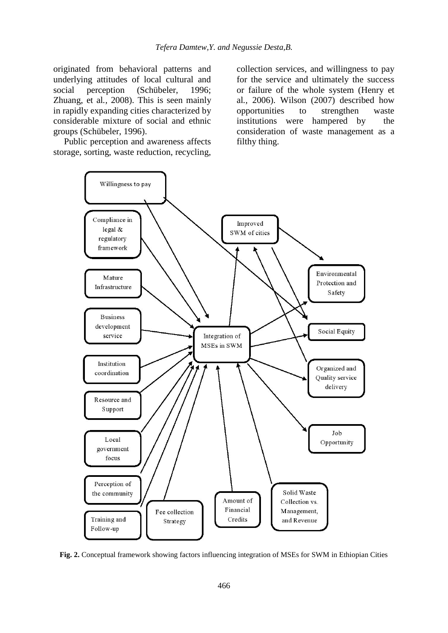originated from behavioral patterns and underlying attitudes of local cultural and social perception (Schübeler, 1996; Zhuang, et al*.,* 2008). This is seen mainly in rapidly expanding cities characterized by considerable mixture of social and ethnic groups (Schübeler, 1996).

Public perception and awareness affects storage, sorting, waste reduction, recycling, collection services, and willingness to pay for the service and ultimately the success or failure of the whole system (Henry et al*.,* 2006). Wilson (2007) described how opportunities to strengthen waste institutions were hampered by the consideration of waste management as a filthy thing.



**Fig. 2.** Conceptual framework showing factors influencing integration of MSEs for SWM in Ethiopian Cities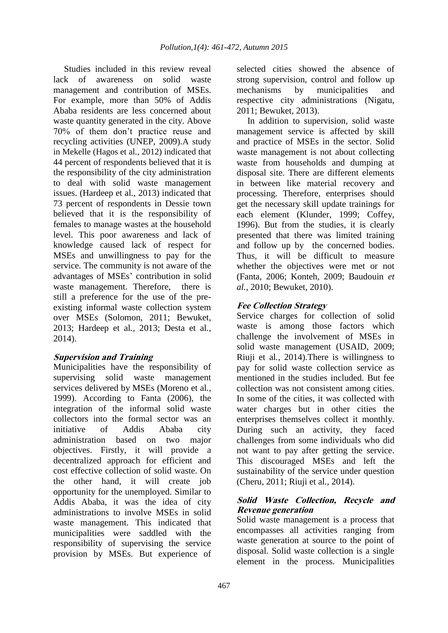Studies included in this review reveal lack of awareness on solid waste management and contribution of MSEs. For example, more than 50% of Addis Ababa residents are less concerned about waste quantity generated in the city. Above 70% of them don't practice reuse and recycling activities (UNEP, 2009).A study in Mekelle (Hagos et al*.*, 2012) indicated that 44 percent of respondents believed that it is the responsibility of the city administration to deal with solid waste management issues. (Hardeep et al*.,* 2013) indicated that 73 percent of respondents in Dessie town believed that it is the responsibility of females to manage wastes at the household level. This poor awareness and lack of knowledge caused lack of respect for MSEs and unwillingness to pay for the service. The community is not aware of the advantages of MSEs' contribution in solid waste management. Therefore, there is still a preference for the use of the preexisting informal waste collection system over MSEs (Solomon, 2011; Bewuket, 2013; Hardeep et al*.,* 2013; Desta et al*.,*  2014).

## **Supervision and Training**

Municipalities have the responsibility of supervising solid waste management services delivered by MSEs (Moreno et al*.*, 1999). According to Fanta (2006), the integration of the informal solid waste collectors into the formal sector was an initiative of Addis Ababa city administration based on two major objectives. Firstly, it will provide a decentralized approach for efficient and cost effective collection of solid waste. On the other hand, it will create job opportunity for the unemployed. Similar to Addis Ababa, it was the idea of city administrations to involve MSEs in solid waste management. This indicated that municipalities were saddled with the responsibility of supervising the service provision by MSEs. But experience of

selected cities showed the absence of strong supervision, control and follow up mechanisms by municipalities and respective city administrations (Nigatu, 2011; Bewuket, 2013).

In addition to supervision, solid waste management service is affected by skill and practice of MSEs in the sector. Solid waste management is not about collecting waste from households and dumping at disposal site. There are different elements in between like material recovery and processing. Therefore, enterprises should get the necessary skill update trainings for each element (Klunder, 1999; Coffey, 1996). But from the studies, it is clearly presented that there was limited training and follow up by the concerned bodies. Thus, it will be difficult to measure whether the objectives were met or not (Fanta, 2006; Konteh, 2009; Baudouin *et al.*, 2010; Bewuket, 2010).

## **Fee Collection Strategy**

Service charges for collection of solid waste is among those factors which challenge the involvement of MSEs in solid waste management (USAID, 2009; Riuji et al*.,* 2014).There is willingness to pay for solid waste collection service as mentioned in the studies included. But fee collection was not consistent among cities. In some of the cities, it was collected with water charges but in other cities the enterprises themselves collect it monthly. During such an activity, they faced challenges from some individuals who did not want to pay after getting the service. This discouraged MSEs and left the sustainability of the service under question (Cheru, 2011; Riuji et al*.,* 2014).

#### **Solid Waste Collection, Recycle and Revenue generation**

Solid waste management is a process that encompasses all activities ranging from waste generation at source to the point of disposal. Solid waste collection is a single element in the process. Municipalities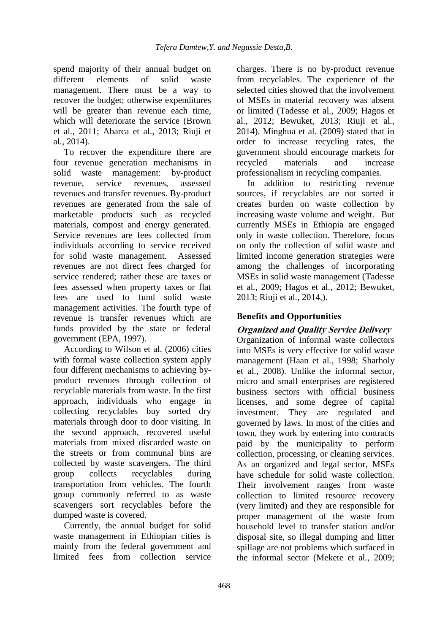spend majority of their annual budget on<br>different elements of solid waste different elements of solid waste management. There must be a way to recover the budget; otherwise expenditures will be greater than revenue each time, which will deteriorate the service (Brown et al*.,* 2011; Abarca et al., 2013; Riuji et al*.,* 2014).

To recover the expenditure there are four revenue generation mechanisms in solid waste management: by-product revenue, service revenues, assessed revenues and transfer revenues. By-product revenues are generated from the sale of marketable products such as recycled materials, compost and energy generated. Service revenues are fees collected from individuals according to service received for solid waste management. Assessed revenues are not direct fees charged for service rendered; rather these are taxes or fees assessed when property taxes or flat fees are used to fund solid waste management activities. The fourth type of revenue is transfer revenues which are funds provided by the state or federal government (EPA, 1997).

According to Wilson et al. (2006) cities with formal waste collection system apply four different mechanisms to achieving byproduct revenues through collection of recyclable materials from waste. In the first approach, individuals who engage in collecting recyclables buy sorted dry materials through door to door visiting. In the second approach, recovered useful materials from mixed discarded waste on the streets or from communal bins are collected by waste scavengers. The third group collects recyclables during transportation from vehicles. The fourth group commonly referred to as waste scavengers sort recyclables before the dumped waste is covered.

Currently, the annual budget for solid waste management in Ethiopian cities is mainly from the federal government and limited fees from collection service

charges. There is no by-product revenue from recyclables. The experience of the selected cities showed that the involvement of MSEs in material recovery was absent or limited (Tadesse et al*.,* 2009; Hagos et al*.,* 2012; Bewuket, 2013; Riuji et al*.,*  2014). Minghua et al*.* (2009) stated that in order to increase recycling rates, the government should encourage markets for recycled materials and increase professionalism in recycling companies.

In addition to restricting revenue sources, if recyclables are not sorted it creates burden on waste collection by increasing waste volume and weight. But currently MSEs in Ethiopia are engaged only in waste collection. Therefore, focus on only the collection of solid waste and limited income generation strategies were among the challenges of incorporating MSEs in solid waste management (Tadesse et al*.,* 2009; Hagos et al*.,* 2012; Bewuket, 2013; Riuji et al*.,* 2014,).

# **Benefits and Opportunities**

## **Organized and Quality Service Delivery**

Organization of informal waste collectors into MSEs is very effective for solid waste management (Haan et al*.,* 1998; Sharholy et al*.,* 2008). Unlike the informal sector, micro and small enterprises are registered business sectors with official business licenses, and some degree of capital investment. They are regulated and governed by laws. In most of the cities and town, they work by entering into contracts paid by the municipality to perform collection, processing, or cleaning services. As an organized and legal sector, MSEs have schedule for solid waste collection. Their involvement ranges from waste collection to limited resource recovery (very limited) and they are responsible for proper management of the waste from household level to transfer station and/or disposal site, so illegal dumping and litter spillage are not problems which surfaced in the informal sector (Mekete et al*.*, 2009;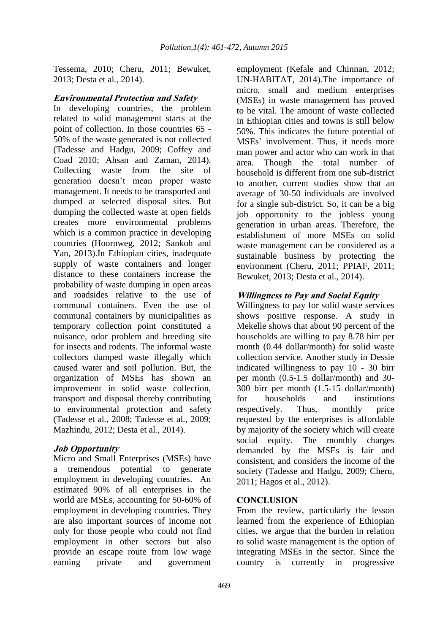Tessema, 2010; Cheru, 2011; Bewuket, 2013; Desta et al*.*, 2014).

#### **Environmental Protection and Safety**

In developing countries, the problem related to solid management starts at the point of collection. In those countries 65 - 50% of the waste generated is not collected (Tadesse and Hadgu, 2009; Coffey and Coad 2010; Ahsan and Zaman, 2014). Collecting waste from the site of generation doesn't mean proper waste management. It needs to be transported and dumped at selected disposal sites. But dumping the collected waste at open fields creates more environmental problems which is a common practice in developing countries (Hoornweg, 2012; Sankoh and Yan, 2013).In Ethiopian cities, inadequate supply of waste containers and longer distance to these containers increase the probability of waste dumping in open areas and roadsides relative to the use of communal containers. Even the use of communal containers by municipalities as temporary collection point constituted a nuisance, odor problem and breeding site for insects and rodents. The informal waste collectors dumped waste illegally which caused water and soil pollution. But, the organization of MSEs has shown an improvement in solid waste collection, transport and disposal thereby contributing to environmental protection and safety (Tadesse et al*.,* 2008; Tadesse et al*.,* 2009; Mazhindu, 2012; Desta et al*.,* 2014).

## **Job Opportunity**

Micro and Small Enterprises (MSEs) have a tremendous potential to generate employment in developing countries. An estimated 90% of all enterprises in the world are MSEs, accounting for 50-60% of employment in developing countries. They are also important sources of income not only for those people who could not find employment in other sectors but also provide an escape route from low wage earning private and government

employment (Kefale and Chinnan, 2012; UN-HABITAT, 2014).The importance of micro, small and medium enterprises (MSEs) in waste management has proved to be vital. The amount of waste collected in Ethiopian cities and towns is still below 50%. This indicates the future potential of MSEs' involvement. Thus, it needs more man power and actor who can work in that area. Though the total number of household is different from one sub-district to another, current studies show that an average of 30-50 individuals are involved for a single sub-district. So, it can be a big job opportunity to the jobless young generation in urban areas. Therefore, the establishment of more MSEs on solid waste management can be considered as a sustainable business by protecting the environment (Cheru, 2011; PPIAF, 2011; Bewuket, 2013; Desta et al*.,* 2014).

## **Willingness to Pay and Social Equity**

Willingness to pay for solid waste services shows positive response. A study in Mekelle shows that about 90 percent of the households are willing to pay 8.78 birr per month (0.44 dollar/month) for solid waste collection service. Another study in Dessie indicated willingness to pay 10 - 30 birr per month (0.5-1.5 dollar/month) and 30- 300 birr per month (1.5-15 dollar/month) for households and institutions respectively. Thus, monthly price requested by the enterprises is affordable by majority of the society which will create social equity. The monthly charges demanded by the MSEs is fair and consistent, and considers the income of the society (Tadesse and Hadgu, 2009; Cheru, 2011; Hagos et al., 2012).

#### **CONCLUSION**

From the review, particularly the lesson learned from the experience of Ethiopian cities, we argue that the burden in relation to solid waste management is the option of integrating MSEs in the sector. Since the country is currently in progressive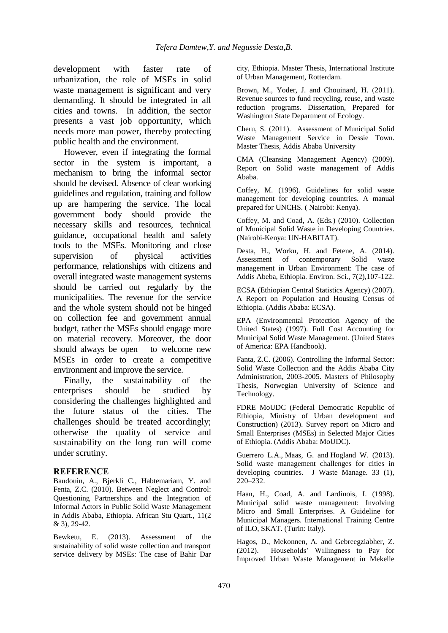development with faster rate of urbanization, the role of MSEs in solid waste management is significant and very demanding. It should be integrated in all cities and towns. In addition, the sector presents a vast job opportunity, which needs more man power, thereby protecting public health and the environment.

However, even if integrating the formal sector in the system is important, a mechanism to bring the informal sector should be devised. Absence of clear working guidelines and regulation, training and follow up are hampering the service. The local government body should provide the necessary skills and resources, technical guidance, occupational health and safety tools to the MSEs. Monitoring and close supervision of physical activities performance, relationships with citizens and overall integrated waste management systems should be carried out regularly by the municipalities. The revenue for the service and the whole system should not be hinged on collection fee and government annual budget, rather the MSEs should engage more on material recovery. Moreover, the door should always be open to welcome new MSEs in order to create a competitive environment and improve the service.

Finally, the sustainability of the enterprises should be studied by considering the challenges highlighted and the future status of the cities. The challenges should be treated accordingly; otherwise the quality of service and sustainability on the long run will come under scrutiny.

#### **REFERENCE**

Baudouin, A., Bjerkli C., Habtemariam, Y. and Fenta, Z.C. (2010). Between Neglect and Control: Questioning Partnerships and the Integration of Informal Actors in Public Solid Waste Management in Addis Ababa, Ethiopia. African Stu Quart., 11(2 & 3), 29-42.

Bewketu, E. (2013). Assessment of the sustainability of solid waste collection and transport service delivery by MSEs: The case of Bahir Dar city, Ethiopia. Master Thesis, International Institute of Urban Management, Rotterdam.

Brown, M., Yoder, J. and Chouinard, H. (2011). Revenue sources to fund recycling, reuse, and waste reduction programs. Dissertation, Prepared for Washington State Department of Ecology.

Cheru, S. (2011). Assessment of Municipal Solid Waste Management Service in Dessie Town. Master Thesis, Addis Ababa University

CMA (Cleansing Management Agency) (2009). Report on Solid waste management of Addis Ababa.

Coffey, M. (1996). Guidelines for solid waste management for developing countries. A manual prepared for UNCHS. ( Nairobi: Kenya).

Coffey, M. and Coad, A. (Eds.) (2010). Collection of Municipal Solid Waste in Developing Countries. (Nairobi-Kenya: UN-HABITAT).

Desta, H., Worku, H. and Fetene, A. (2014). Assessment of contemporary Solid waste management in Urban Environment: The case of Addis Abeba, Ethiopia. Environ. Sci., 7(2),107-122.

ECSA (Ethiopian Central Statistics Agency) (2007). A Report on Population and Housing Census of Ethiopia. (Addis Ababa: ECSA).

EPA (Environmental Protection Agency of the United States) (1997). Full Cost Accounting for Municipal Solid Waste Management. (United States of America: EPA Handbook).

Fanta, Z.C. (2006). Controlling the Informal Sector: Solid Waste Collection and the Addis Ababa City Administration, 2003-2005. Masters of Philosophy Thesis, Norwegian University of Science and Technology.

FDRE MoUDC (Federal Democratic Republic of Ethiopia, Ministry of Urban development and Construction) (2013). Survey report on Micro and Small Enterprises (MSEs) in Selected Major Cities of Ethiopia. (Addis Ababa: MoUDC).

Guerrero L.A., Maas, G. and Hogland W. (2013). Solid waste management challenges for cities in developing countries. J Waste Manage. 33 (1), 220–232.

Haan, H., Coad, A. and Lardinois, I. (1998). Municipal solid waste management: Involving Micro and Small Enterprises. A Guideline for Municipal Managers. International Training Centre of ILO, SKAT. (Turin: Italy).

Hagos, D., Mekonnen, A. and Gebreegziabher, Z. (2012). Households' Willingness to Pay for Improved Urban Waste Management in Mekelle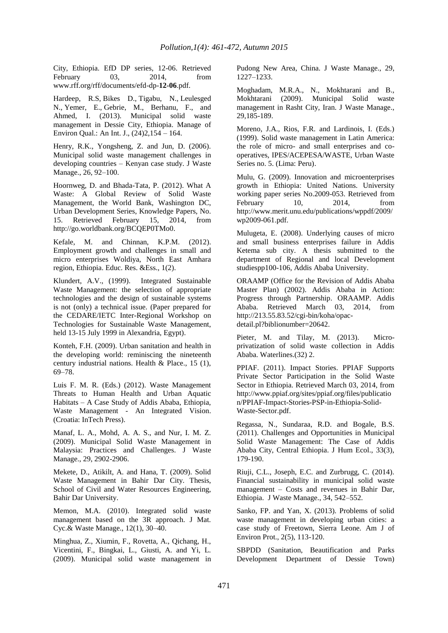City, Ethiopia. EfD DP series, 12-06. Retrieved February 03, 2014, from www.rff.org/rff/documents/efd-dp-**12-06**.pdf.

Hardeep, R.S, Bikes D., Tigabu, N., Leulesged N., Yemer, E., Gebrie, M., Berhanu, F., and Ahmed, I. (2013). Municipal solid waste management in Dessie City, Ethiopia. Manage of Environ Qual.: An Int. J., (24)2,154 – 164.

Henry, R.K., Yongsheng, Z. and Jun, D. (2006). Municipal solid waste management challenges in developing countries – Kenyan case study. J Waste Manage., 26, 92–100.

Hoornweg, D. and Bhada-Tata, P. (2012). What A Waste: A Global Review of Solid Waste Management, the World Bank, Washington DC, Urban Development Series, Knowledge Papers, No. 15. Retrieved February 15, 2014, from http://go.worldbank.org/BCQEP0TMo0.

Kefale, M. and Chinnan, K.P.M. (2012). Employment growth and challenges in small and micro enterprises Woldiya, North East Amhara region, Ethiopia. Educ. Res. &Ess., 1(2).

Klundert, A.V., (1999). Integrated Sustainable Waste Management: the selection of appropriate technologies and the design of sustainable systems is not (only) a technical issue. (Paper prepared for the CEDARE/IETC Inter-Regional Workshop on Technologies for Sustainable Waste Management, held 13-15 July 1999 in Alexandria, Egypt).

Konteh, F.H. (2009). Urban sanitation and health in the developing world: reminiscing the nineteenth century industrial nations. Health & Place., 15 (1), 69–78.

Luis F. M. R. (Eds.) (2012). Waste Management Threats to Human Health and Urban Aquatic Habitats – A Case Study of Addis Ababa, Ethiopia, Waste Management - An Integrated Vision. (Croatia: InTech Press).

Manaf, L. A., Mohd, A. A. S., and Nur, I. M. Z. (2009). Municipal Solid Waste Management in Malaysia: Practices and Challenges. J Waste Manage., 29, 2902-2906.

Mekete, D., Atikilt, A. and Hana, T. (2009). Solid Waste Management in Bahir Dar City. Thesis, School of Civil and Water Resources Engineering, Bahir Dar University.

Memon, M.A. (2010). Integrated solid waste management based on the 3R approach. J Mat. Cyc.& Waste Manage., 12(1), 30–40.

Minghua, Z., Xiumin, F., Rovetta, A., Qichang, H., Vicentini, F., Bingkai, L., Giusti, A. and Yi, L. (2009). Municipal solid waste management in Pudong New Area, China. J Waste Manage., 29, 1227–1233.

Moghadam, M.R.A., N., Mokhtarani and B., Mokhtarani (2009). Municipal Solid waste management in Rasht City, Iran. J Waste Manage., 29,185-189.

Moreno, J.A., Rios, F.R. and Lardinois, I. (Eds.) (1999). Solid waste management in Latin America: the role of micro- and small enterprises and cooperatives, IPES/ACEPESA/WASTE, Urban Waste Series no. 5. (Lima: Peru).

Mulu, G. (2009). Innovation and microenterprises growth in Ethiopia: United Nations. University working paper series No.2009-053. Retrieved from<br>February 10. 2014. from February 10, 2014, from http://www.merit.unu.edu/publications/wppdf/2009/ wp2009-061.pdf.

Mulugeta, E. (2008). Underlying causes of micro and small business enterprises failure in Addis Ketema sub city. A thesis submitted to the department of Regional and local Development studiespp100-106, Addis Ababa University.

ORAAMP (Office for the Revision of Addis Ababa Master Plan) (2002). Addis Ababa in Action: Progress through Partnership. ORAAMP. Addis Ababa. Retrieved March 03, 2014, from http://213.55.83.52/cgi-bin/koha/opacdetail.pl?biblionumber=20642.

Pieter, M. and Tilay, M. (2013). Microprivatization of solid waste collection in Addis Ababa. Waterlines.(32) 2.

PPIAF. (2011). Impact Stories. PPIAF Supports Private Sector Participation in the Solid Waste Sector in Ethiopia. Retrieved March 03, 2014, from http://www.ppiaf.org/sites/ppiaf.org/files/publicatio n/PPIAF-Impact-Stories-PSP-in-Ethiopia-Solid-Waste-Sector.pdf.

Regassa, N., Sundaraa, R.D. and Bogale, B.S. (2011). Challenges and Opportunities in Municipal Solid Waste Management: The Case of Addis Ababa City, Central Ethiopia. J Hum Ecol., 33(3), 179-190.

Riuji, C.L., Joseph, E.C. and Zurbrugg, C. (2014). Financial sustainability in municipal solid waste management – Costs and revenues in Bahir Dar, Ethiopia. J Waste Manage., 34, 542–552.

Sanko, FP. and Yan, X. (2013). Problems of solid waste management in developing urban cities: a case study of Freetown, Sierra Leone. Am J of Environ Prot., 2(5), 113-120.

SBPDD (Sanitation, Beautification and Parks Development Department of Dessie Town)